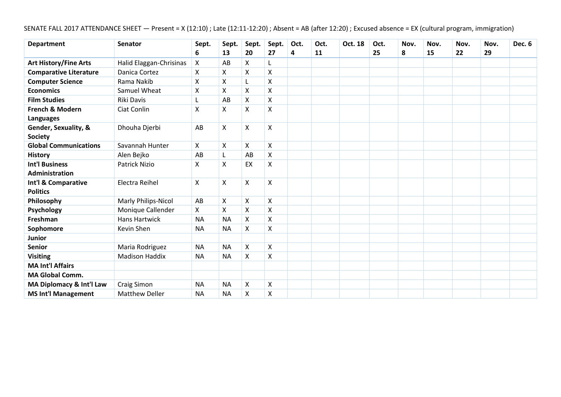SENATE FALL 2017 ATTENDANCE SHEET — Present = X (12:10) ; Late (12:11-12:20) ; Absent = AB (after 12:20) ; Excused absence = EX (cultural program, immigration)

| <b>Department</b>                      | <b>Senator</b>          | Sept.              | Sept.     | Sept. | Sept.              | Oct. | Oct. | Oct. 18 | Oct. | Nov. | Nov. | Nov. | Nov. | Dec. 6 |
|----------------------------------------|-------------------------|--------------------|-----------|-------|--------------------|------|------|---------|------|------|------|------|------|--------|
|                                        |                         | 6                  | 13        | 20    | 27                 | 4    | 11   |         | 25   | 8    | 15   | 22   | 29   |        |
| <b>Art History/Fine Arts</b>           | Halid Elaggan-Chrisinas | X                  | AB        | Χ     |                    |      |      |         |      |      |      |      |      |        |
| <b>Comparative Literature</b>          | Danica Cortez           | Χ                  | X         | X     | Χ                  |      |      |         |      |      |      |      |      |        |
| <b>Computer Science</b>                | Rama Nakib              | $\pmb{\mathsf{X}}$ | Χ         | L     | $\pmb{\mathsf{X}}$ |      |      |         |      |      |      |      |      |        |
| <b>Economics</b>                       | Samuel Wheat            | X                  | X         | X     | X                  |      |      |         |      |      |      |      |      |        |
| <b>Film Studies</b>                    | Riki Davis              | L                  | AB        | Χ     | $\pmb{\mathsf{X}}$ |      |      |         |      |      |      |      |      |        |
| French & Modern<br><b>Languages</b>    | Ciat Conlin             | X                  | X         | X     | $\pmb{\mathsf{X}}$ |      |      |         |      |      |      |      |      |        |
| Gender, Sexuality, &<br><b>Society</b> | Dhouha Djerbi           | AB                 | X         | X     | $\pmb{\mathsf{X}}$ |      |      |         |      |      |      |      |      |        |
| <b>Global Communications</b>           | Savannah Hunter         | X                  | X         | Χ     | X                  |      |      |         |      |      |      |      |      |        |
| <b>History</b>                         | Alen Bejko              | AB                 | L         | AB    | X                  |      |      |         |      |      |      |      |      |        |
| <b>Int'l Business</b>                  | Patrick Nizio           | X                  | Χ         | EX    | $\pmb{\mathsf{X}}$ |      |      |         |      |      |      |      |      |        |
| Administration                         |                         |                    |           |       |                    |      |      |         |      |      |      |      |      |        |
| Int'l & Comparative<br><b>Politics</b> | Electra Reihel          | X                  | X         | X     | X                  |      |      |         |      |      |      |      |      |        |
| Philosophy                             | Marly Philips-Nicol     | AB                 | X         | X     | $\pmb{\mathsf{X}}$ |      |      |         |      |      |      |      |      |        |
| Psychology                             | Monique Callender       | X                  | X         | X     | X                  |      |      |         |      |      |      |      |      |        |
| Freshman                               | Hans Hartwick           | <b>NA</b>          | <b>NA</b> | X     | X                  |      |      |         |      |      |      |      |      |        |
| Sophomore                              | Kevin Shen              | <b>NA</b>          | <b>NA</b> | X     | $\pmb{\mathsf{X}}$ |      |      |         |      |      |      |      |      |        |
| Junior                                 |                         |                    |           |       |                    |      |      |         |      |      |      |      |      |        |
| <b>Senior</b>                          | Maria Rodriguez         | <b>NA</b>          | <b>NA</b> | X     | X                  |      |      |         |      |      |      |      |      |        |
| <b>Visiting</b>                        | <b>Madison Haddix</b>   | <b>NA</b>          | <b>NA</b> | X     | $\pmb{\mathsf{X}}$ |      |      |         |      |      |      |      |      |        |
| <b>MA Int'l Affairs</b>                |                         |                    |           |       |                    |      |      |         |      |      |      |      |      |        |
| <b>MA Global Comm.</b>                 |                         |                    |           |       |                    |      |      |         |      |      |      |      |      |        |
| MA Diplomacy & Int'l Law               | Craig Simon             | <b>NA</b>          | <b>NA</b> | X     | X                  |      |      |         |      |      |      |      |      |        |
| <b>MS Int'l Management</b>             | <b>Matthew Deller</b>   | <b>NA</b>          | <b>NA</b> | X     | X                  |      |      |         |      |      |      |      |      |        |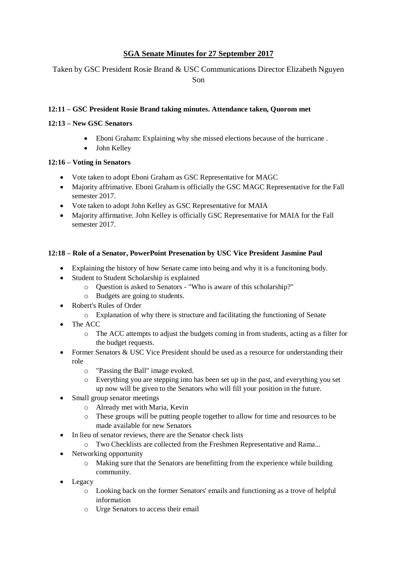# **SGA Senate Minutes for 27 September 2017**

Taken by GSC President Rosie Brand & USC Communications Director Elizabeth Nguyen Son

### **12:11 – GSC President Rosie Brand taking minutes. Attendance taken, Quorom met**

# **12:13 – New GSC Senators**

- Eboni Graham: Explaining why she missed elections because of the hurricane .
- John Kelley

### **12:16 – Voting in Senators**

- Vote taken to adopt Eboni Graham as GSC Representative for MAGC
- Majority affrimative. Eboni Graham is officially the GSC MAGC Representative for the Fall semester 2017.
- Vote taken to adopt John Kelley as GSC Representative for MAIA
- Majority affirmative. John Kelley is officially GSC Representative for MAIA for the Fall semester 2017.

# **12:18 – Role of a Senator, PowerPoint Presenation by USC Vice President Jasmine Paul**

- Explaining the history of how Senate came into being and why it is a funcitoning body.
- Student to Student Scholarship is explained
	- o Question is asked to Senators "Who is aware of this scholarship?"
	- o Budgets are going to students.
- Robert's Rules of Order
	- o Explanation of why there is structure and facilitating the functioning of Senate
- The ACC
	- o The ACC attempts to adjust the budgets coming in from students, acting as a filter for the budget requests.
- Former Senators & USC Vice President should be used as a resource for understanding their role
	- o "Passing the Ball" image evoked.
	- o Everything you are stepping into has been set up in the past, and everything you set up now will be given to the Senators who will fill your position in the future.
- Small group senator meetings
	- o Already met with Maria, Kevin
	- o These groups will be putting people together to allow for time and resources to be made available for new Senators
- In lieu of senator reviews, there are the Senator check lists
	- o Two Checklists are collected from the Freshmen Representative and Rama...
- Networking opportunity
	- o Making sure that the Senators are benefitting from the experience while building community.
- Legacy
	- o Looking back on the former Senators' emails and functioning as a trove of helpful information
	- o Urge Senators to access their email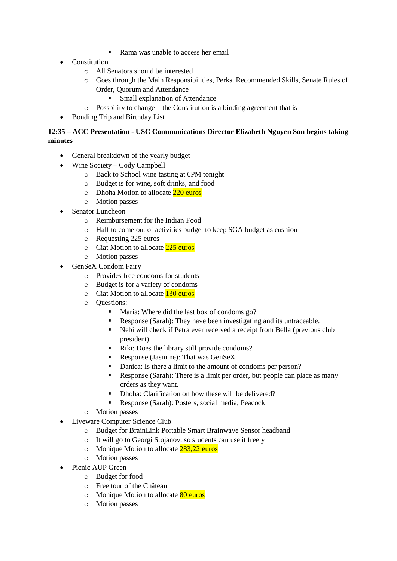- Rama was unable to access her email
- Constitution
	- o All Senators should be interested
	- o Goes through the Main Responsibilities, Perks, Recommended Skills, Senate Rules of Order, Quorum and Attendance
		- Small explanation of Attendance
	- o Possbility to change the Constitution is a binding agreement that is
- Bonding Trip and Birthday List

## **12:35 – ACC Presentation - USC Communications Director Elizabeth Nguyen Son begins taking minutes**

- General breakdown of the yearly budget
- Wine Society Cody Campbell
	- o Back to School wine tasting at 6PM tonight
	- o Budget is for wine, soft drinks, and food
	- o Dhoha Motion to allocate 220 euros
	- o Motion passes
- Senator Luncheon
	- o Reimbursement for the Indian Food
	- o Half to come out of activities budget to keep SGA budget as cushion
	- o Requesting 225 euros
	- o Ciat Motion to allocate 225 euros
	- o Motion passes
- GenSeX Condom Fairy
	- o Provides free condoms for students
	- o Budget is for a variety of condoms
	- o Ciat Motion to allocate 130 euros
	- o Questions:
		- Maria: Where did the last box of condoms go?
		- Response (Sarah): They have been investigating and its untraceable.
		- Nebi will check if Petra ever received a receipt from Bella (previous club president)
		- Riki: Does the library still provide condoms?
		- Response (Jasmine): That was GenSeX
		- Danica: Is there a limit to the amount of condoms per person?
		- Response (Sarah): There is a limit per order, but people can place as many orders as they want.
		- Dhoha: Clarification on how these will be delivered?
		- Response (Sarah): Posters, social media, Peacock
	- o Motion passes
- Liveware Computer Science Club
	- o Budget for BrainLink Portable Smart Brainwave Sensor headband
	- o It will go to Georgi Stojanov, so students can use it freely
	- o Monique Motion to allocate 283,22 euros
	- o Motion passes
- Picnic AUP Green
	- o Budget for food
	- o Free tour of the Château
	- o Monique Motion to allocate 80 euros
	- o Motion passes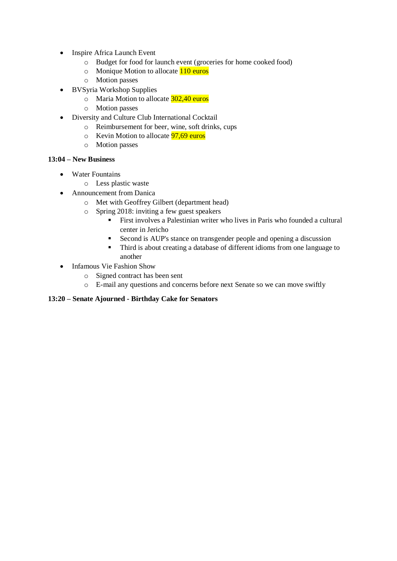- Inspire Africa Launch Event
	- o Budget for food for launch event (groceries for home cooked food)
	- o Monique Motion to allocate 110 euros
	- o Motion passes
- BVSyria Workshop Supplies
	- o Maria Motion to allocate 302,40 euros
	- o Motion passes
- Diversity and Culture Club International Cocktail
	- o Reimbursement for beer, wine, soft drinks, cups
	- $\circ$  Kevin Motion to allocate  $\frac{97,69}{ }$  euros
	- o Motion passes

#### **13:04 – New Business**

- Water Fountains
	- o Less plastic waste
- Announcement from Danica
	- o Met with Geoffrey Gilbert (department head)
	- o Spring 2018: inviting a few guest speakers
		- **EXECUTE:** First involves a Palestinian writer who lives in Paris who founded a cultural center in Jericho
		- Second is AUP's stance on transgender people and opening a discussion
		- Third is about creating a database of different idioms from one language to another
- Infamous Vie Fashion Show
	- o Signed contract has been sent
	- o E-mail any questions and concerns before next Senate so we can move swiftly

### **13:20 – Senate Ajourned - Birthday Cake for Senators**